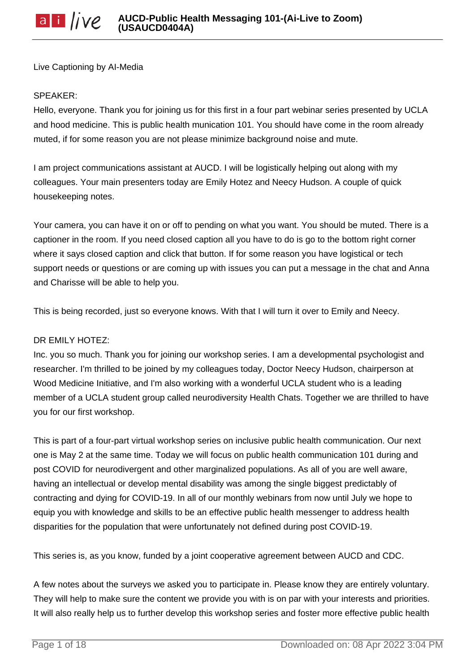Live Captioning by AI-Media

#### SPEAKER:

Hello, everyone. Thank you for joining us for this first in a four part webinar series presented by UCLA and hood medicine. This is public health munication 101. You should have come in the room already muted, if for some reason you are not please minimize background noise and mute.

I am project communications assistant at AUCD. I will be logistically helping out along with my colleagues. Your main presenters today are Emily Hotez and Neecy Hudson. A couple of quick housekeeping notes.

Your camera, you can have it on or off to pending on what you want. You should be muted. There is a captioner in the room. If you need closed caption all you have to do is go to the bottom right corner where it says closed caption and click that button. If for some reason you have logistical or tech support needs or questions or are coming up with issues you can put a message in the chat and Anna and Charisse will be able to help you.

This is being recorded, just so everyone knows. With that I will turn it over to Emily and Neecy.

## DR EMILY HOTEZ:

Inc. you so much. Thank you for joining our workshop series. I am a developmental psychologist and researcher. I'm thrilled to be joined by my colleagues today, Doctor Neecy Hudson, chairperson at Wood Medicine Initiative, and I'm also working with a wonderful UCLA student who is a leading member of a UCLA student group called neurodiversity Health Chats. Together we are thrilled to have you for our first workshop.

This is part of a four-part virtual workshop series on inclusive public health communication. Our next one is May 2 at the same time. Today we will focus on public health communication 101 during and post COVID for neurodivergent and other marginalized populations. As all of you are well aware, having an intellectual or develop mental disability was among the single biggest predictably of contracting and dying for COVID-19. In all of our monthly webinars from now until July we hope to equip you with knowledge and skills to be an effective public health messenger to address health disparities for the population that were unfortunately not defined during post COVID-19.

This series is, as you know, funded by a joint cooperative agreement between AUCD and CDC.

A few notes about the surveys we asked you to participate in. Please know they are entirely voluntary. They will help to make sure the content we provide you with is on par with your interests and priorities. It will also really help us to further develop this workshop series and foster more effective public health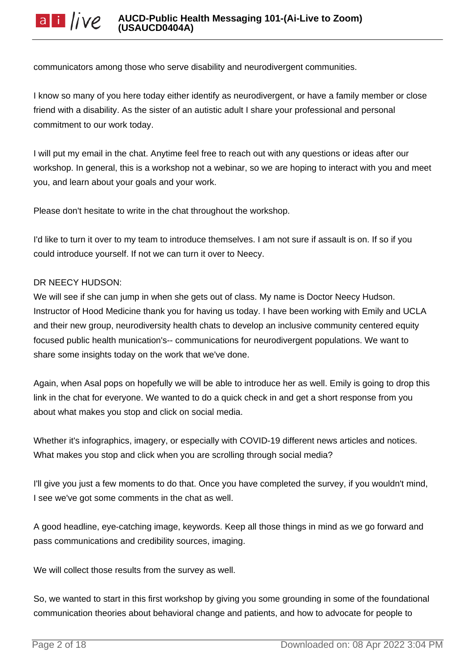communicators among those who serve disability and neurodivergent communities.

I know so many of you here today either identify as neurodivergent, or have a family member or close friend with a disability. As the sister of an autistic adult I share your professional and personal commitment to our work today.

I will put my email in the chat. Anytime feel free to reach out with any questions or ideas after our workshop. In general, this is a workshop not a webinar, so we are hoping to interact with you and meet you, and learn about your goals and your work.

Please don't hesitate to write in the chat throughout the workshop.

I'd like to turn it over to my team to introduce themselves. I am not sure if assault is on. If so if you could introduce yourself. If not we can turn it over to Neecy.

#### DR NEECY HUDSON:

We will see if she can jump in when she gets out of class. My name is Doctor Neecy Hudson. Instructor of Hood Medicine thank you for having us today. I have been working with Emily and UCLA and their new group, neurodiversity health chats to develop an inclusive community centered equity focused public health munication's-- communications for neurodivergent populations. We want to share some insights today on the work that we've done.

Again, when Asal pops on hopefully we will be able to introduce her as well. Emily is going to drop this link in the chat for everyone. We wanted to do a quick check in and get a short response from you about what makes you stop and click on social media.

Whether it's infographics, imagery, or especially with COVID-19 different news articles and notices. What makes you stop and click when you are scrolling through social media?

I'll give you just a few moments to do that. Once you have completed the survey, if you wouldn't mind, I see we've got some comments in the chat as well.

A good headline, eye-catching image, keywords. Keep all those things in mind as we go forward and pass communications and credibility sources, imaging.

We will collect those results from the survey as well.

So, we wanted to start in this first workshop by giving you some grounding in some of the foundational communication theories about behavioral change and patients, and how to advocate for people to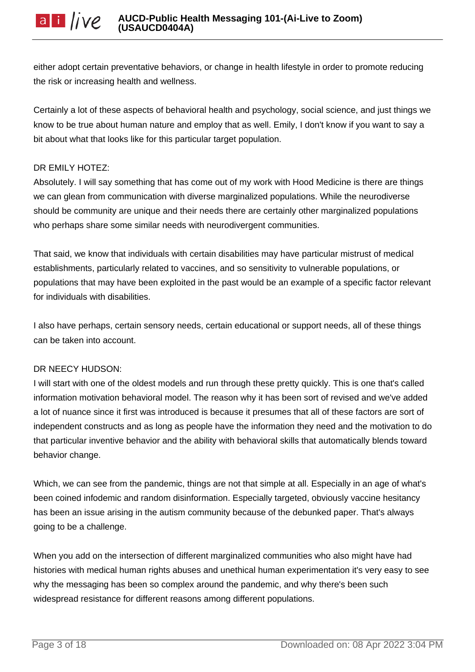either adopt certain preventative behaviors, or change in health lifestyle in order to promote reducing the risk or increasing health and wellness.

Certainly a lot of these aspects of behavioral health and psychology, social science, and just things we know to be true about human nature and employ that as well. Emily, I don't know if you want to say a bit about what that looks like for this particular target population.

## DR EMILY HOTEZ:

Absolutely. I will say something that has come out of my work with Hood Medicine is there are things we can glean from communication with diverse marginalized populations. While the neurodiverse should be community are unique and their needs there are certainly other marginalized populations who perhaps share some similar needs with neurodivergent communities.

That said, we know that individuals with certain disabilities may have particular mistrust of medical establishments, particularly related to vaccines, and so sensitivity to vulnerable populations, or populations that may have been exploited in the past would be an example of a specific factor relevant for individuals with disabilities.

I also have perhaps, certain sensory needs, certain educational or support needs, all of these things can be taken into account.

## DR NEECY HUDSON:

I will start with one of the oldest models and run through these pretty quickly. This is one that's called information motivation behavioral model. The reason why it has been sort of revised and we've added a lot of nuance since it first was introduced is because it presumes that all of these factors are sort of independent constructs and as long as people have the information they need and the motivation to do that particular inventive behavior and the ability with behavioral skills that automatically blends toward behavior change.

Which, we can see from the pandemic, things are not that simple at all. Especially in an age of what's been coined infodemic and random disinformation. Especially targeted, obviously vaccine hesitancy has been an issue arising in the autism community because of the debunked paper. That's always going to be a challenge.

When you add on the intersection of different marginalized communities who also might have had histories with medical human rights abuses and unethical human experimentation it's very easy to see why the messaging has been so complex around the pandemic, and why there's been such widespread resistance for different reasons among different populations.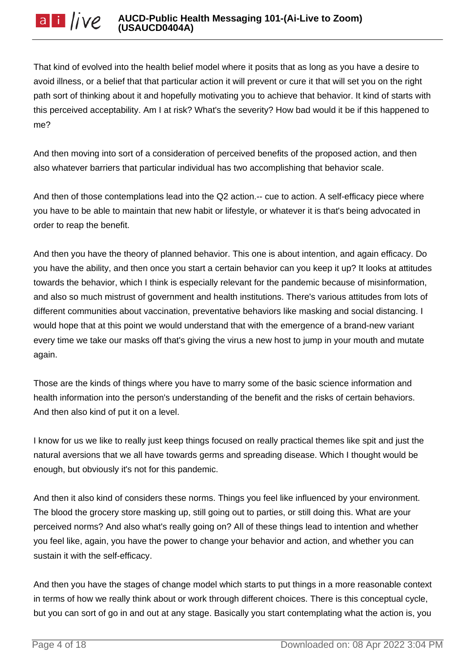That kind of evolved into the health belief model where it posits that as long as you have a desire to avoid illness, or a belief that that particular action it will prevent or cure it that will set you on the right path sort of thinking about it and hopefully motivating you to achieve that behavior. It kind of starts with this perceived acceptability. Am I at risk? What's the severity? How bad would it be if this happened to me?

And then moving into sort of a consideration of perceived benefits of the proposed action, and then also whatever barriers that particular individual has two accomplishing that behavior scale.

And then of those contemplations lead into the Q2 action.-- cue to action. A self-efficacy piece where you have to be able to maintain that new habit or lifestyle, or whatever it is that's being advocated in order to reap the benefit.

And then you have the theory of planned behavior. This one is about intention, and again efficacy. Do you have the ability, and then once you start a certain behavior can you keep it up? It looks at attitudes towards the behavior, which I think is especially relevant for the pandemic because of misinformation, and also so much mistrust of government and health institutions. There's various attitudes from lots of different communities about vaccination, preventative behaviors like masking and social distancing. I would hope that at this point we would understand that with the emergence of a brand-new variant every time we take our masks off that's giving the virus a new host to jump in your mouth and mutate again.

Those are the kinds of things where you have to marry some of the basic science information and health information into the person's understanding of the benefit and the risks of certain behaviors. And then also kind of put it on a level.

I know for us we like to really just keep things focused on really practical themes like spit and just the natural aversions that we all have towards germs and spreading disease. Which I thought would be enough, but obviously it's not for this pandemic.

And then it also kind of considers these norms. Things you feel like influenced by your environment. The blood the grocery store masking up, still going out to parties, or still doing this. What are your perceived norms? And also what's really going on? All of these things lead to intention and whether you feel like, again, you have the power to change your behavior and action, and whether you can sustain it with the self-efficacy.

And then you have the stages of change model which starts to put things in a more reasonable context in terms of how we really think about or work through different choices. There is this conceptual cycle, but you can sort of go in and out at any stage. Basically you start contemplating what the action is, you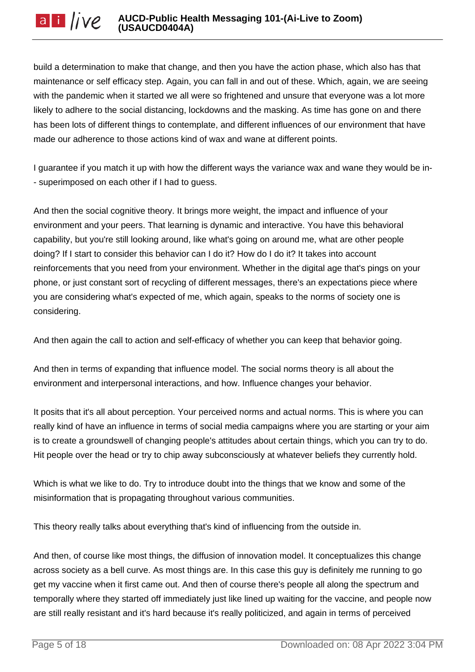build a determination to make that change, and then you have the action phase, which also has that maintenance or self efficacy step. Again, you can fall in and out of these. Which, again, we are seeing with the pandemic when it started we all were so frightened and unsure that everyone was a lot more likely to adhere to the social distancing, lockdowns and the masking. As time has gone on and there has been lots of different things to contemplate, and different influences of our environment that have made our adherence to those actions kind of wax and wane at different points.

I guarantee if you match it up with how the different ways the variance wax and wane they would be in- - superimposed on each other if I had to guess.

And then the social cognitive theory. It brings more weight, the impact and influence of your environment and your peers. That learning is dynamic and interactive. You have this behavioral capability, but you're still looking around, like what's going on around me, what are other people doing? If I start to consider this behavior can I do it? How do I do it? It takes into account reinforcements that you need from your environment. Whether in the digital age that's pings on your phone, or just constant sort of recycling of different messages, there's an expectations piece where you are considering what's expected of me, which again, speaks to the norms of society one is considering.

And then again the call to action and self-efficacy of whether you can keep that behavior going.

And then in terms of expanding that influence model. The social norms theory is all about the environment and interpersonal interactions, and how. Influence changes your behavior.

It posits that it's all about perception. Your perceived norms and actual norms. This is where you can really kind of have an influence in terms of social media campaigns where you are starting or your aim is to create a groundswell of changing people's attitudes about certain things, which you can try to do. Hit people over the head or try to chip away subconsciously at whatever beliefs they currently hold.

Which is what we like to do. Try to introduce doubt into the things that we know and some of the misinformation that is propagating throughout various communities.

This theory really talks about everything that's kind of influencing from the outside in.

And then, of course like most things, the diffusion of innovation model. It conceptualizes this change across society as a bell curve. As most things are. In this case this guy is definitely me running to go get my vaccine when it first came out. And then of course there's people all along the spectrum and temporally where they started off immediately just like lined up waiting for the vaccine, and people now are still really resistant and it's hard because it's really politicized, and again in terms of perceived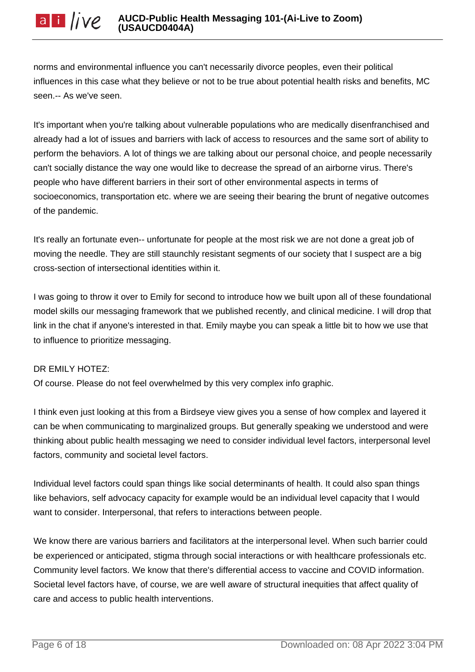norms and environmental influence you can't necessarily divorce peoples, even their political influences in this case what they believe or not to be true about potential health risks and benefits, MC seen.-- As we've seen.

It's important when you're talking about vulnerable populations who are medically disenfranchised and already had a lot of issues and barriers with lack of access to resources and the same sort of ability to perform the behaviors. A lot of things we are talking about our personal choice, and people necessarily can't socially distance the way one would like to decrease the spread of an airborne virus. There's people who have different barriers in their sort of other environmental aspects in terms of socioeconomics, transportation etc. where we are seeing their bearing the brunt of negative outcomes of the pandemic.

It's really an fortunate even-- unfortunate for people at the most risk we are not done a great job of moving the needle. They are still staunchly resistant segments of our society that I suspect are a big cross-section of intersectional identities within it.

I was going to throw it over to Emily for second to introduce how we built upon all of these foundational model skills our messaging framework that we published recently, and clinical medicine. I will drop that link in the chat if anyone's interested in that. Emily maybe you can speak a little bit to how we use that to influence to prioritize messaging.

# DR EMILY HOTEZ:

Of course. Please do not feel overwhelmed by this very complex info graphic.

I think even just looking at this from a Birdseye view gives you a sense of how complex and layered it can be when communicating to marginalized groups. But generally speaking we understood and were thinking about public health messaging we need to consider individual level factors, interpersonal level factors, community and societal level factors.

Individual level factors could span things like social determinants of health. It could also span things like behaviors, self advocacy capacity for example would be an individual level capacity that I would want to consider. Interpersonal, that refers to interactions between people.

We know there are various barriers and facilitators at the interpersonal level. When such barrier could be experienced or anticipated, stigma through social interactions or with healthcare professionals etc. Community level factors. We know that there's differential access to vaccine and COVID information. Societal level factors have, of course, we are well aware of structural inequities that affect quality of care and access to public health interventions.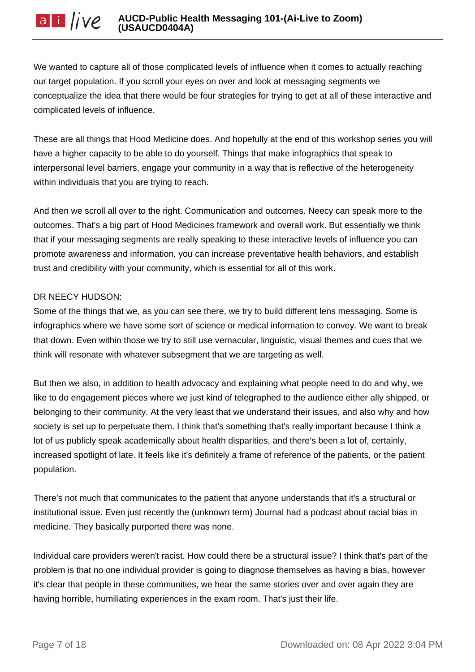We wanted to capture all of those complicated levels of influence when it comes to actually reaching our target population. If you scroll your eyes on over and look at messaging segments we conceptualize the idea that there would be four strategies for trying to get at all of these interactive and complicated levels of influence.

These are all things that Hood Medicine does. And hopefully at the end of this workshop series you will have a higher capacity to be able to do yourself. Things that make infographics that speak to interpersonal level barriers, engage your community in a way that is reflective of the heterogeneity within individuals that you are trying to reach.

And then we scroll all over to the right. Communication and outcomes. Neecy can speak more to the outcomes. That's a big part of Hood Medicines framework and overall work. But essentially we think that if your messaging segments are really speaking to these interactive levels of influence you can promote awareness and information, you can increase preventative health behaviors, and establish trust and credibility with your community, which is essential for all of this work.

## DR NEECY HUDSON:

Some of the things that we, as you can see there, we try to build different lens messaging. Some is infographics where we have some sort of science or medical information to convey. We want to break that down. Even within those we try to still use vernacular, linguistic, visual themes and cues that we think will resonate with whatever subsegment that we are targeting as well.

But then we also, in addition to health advocacy and explaining what people need to do and why, we like to do engagement pieces where we just kind of telegraphed to the audience either ally shipped, or belonging to their community. At the very least that we understand their issues, and also why and how society is set up to perpetuate them. I think that's something that's really important because I think a lot of us publicly speak academically about health disparities, and there's been a lot of, certainly, increased spotlight of late. It feels like it's definitely a frame of reference of the patients, or the patient population.

There's not much that communicates to the patient that anyone understands that it's a structural or institutional issue. Even just recently the (unknown term) Journal had a podcast about racial bias in medicine. They basically purported there was none.

Individual care providers weren't racist. How could there be a structural issue? I think that's part of the problem is that no one individual provider is going to diagnose themselves as having a bias, however it's clear that people in these communities, we hear the same stories over and over again they are having horrible, humiliating experiences in the exam room. That's just their life.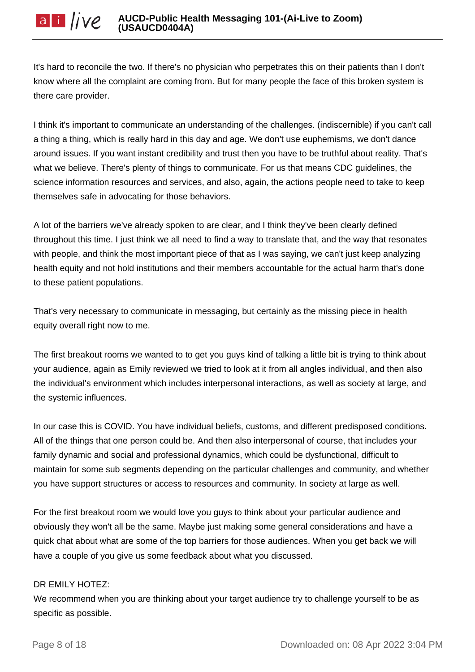It's hard to reconcile the two. If there's no physician who perpetrates this on their patients than I don't know where all the complaint are coming from. But for many people the face of this broken system is there care provider.

I think it's important to communicate an understanding of the challenges. (indiscernible) if you can't call a thing a thing, which is really hard in this day and age. We don't use euphemisms, we don't dance around issues. If you want instant credibility and trust then you have to be truthful about reality. That's what we believe. There's plenty of things to communicate. For us that means CDC guidelines, the science information resources and services, and also, again, the actions people need to take to keep themselves safe in advocating for those behaviors.

A lot of the barriers we've already spoken to are clear, and I think they've been clearly defined throughout this time. I just think we all need to find a way to translate that, and the way that resonates with people, and think the most important piece of that as I was saying, we can't just keep analyzing health equity and not hold institutions and their members accountable for the actual harm that's done to these patient populations.

That's very necessary to communicate in messaging, but certainly as the missing piece in health equity overall right now to me.

The first breakout rooms we wanted to to get you guys kind of talking a little bit is trying to think about your audience, again as Emily reviewed we tried to look at it from all angles individual, and then also the individual's environment which includes interpersonal interactions, as well as society at large, and the systemic influences.

In our case this is COVID. You have individual beliefs, customs, and different predisposed conditions. All of the things that one person could be. And then also interpersonal of course, that includes your family dynamic and social and professional dynamics, which could be dysfunctional, difficult to maintain for some sub segments depending on the particular challenges and community, and whether you have support structures or access to resources and community. In society at large as well.

For the first breakout room we would love you guys to think about your particular audience and obviously they won't all be the same. Maybe just making some general considerations and have a quick chat about what are some of the top barriers for those audiences. When you get back we will have a couple of you give us some feedback about what you discussed.

## DR EMILY HOTEZ:

We recommend when you are thinking about your target audience try to challenge yourself to be as specific as possible.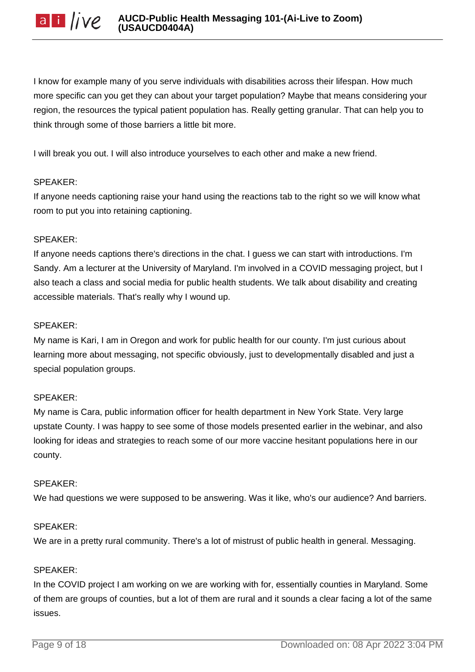I know for example many of you serve individuals with disabilities across their lifespan. How much more specific can you get they can about your target population? Maybe that means considering your region, the resources the typical patient population has. Really getting granular. That can help you to think through some of those barriers a little bit more.

I will break you out. I will also introduce yourselves to each other and make a new friend.

## SPEAKER:

If anyone needs captioning raise your hand using the reactions tab to the right so we will know what room to put you into retaining captioning.

## SPEAKER:

If anyone needs captions there's directions in the chat. I guess we can start with introductions. I'm Sandy. Am a lecturer at the University of Maryland. I'm involved in a COVID messaging project, but I also teach a class and social media for public health students. We talk about disability and creating accessible materials. That's really why I wound up.

## SPEAKER:

My name is Kari, I am in Oregon and work for public health for our county. I'm just curious about learning more about messaging, not specific obviously, just to developmentally disabled and just a special population groups.

# SPEAKER:

My name is Cara, public information officer for health department in New York State. Very large upstate County. I was happy to see some of those models presented earlier in the webinar, and also looking for ideas and strategies to reach some of our more vaccine hesitant populations here in our county.

## SPEAKER:

We had questions we were supposed to be answering. Was it like, who's our audience? And barriers.

## SPEAKER:

We are in a pretty rural community. There's a lot of mistrust of public health in general. Messaging.

## SPEAKER:

In the COVID project I am working on we are working with for, essentially counties in Maryland. Some of them are groups of counties, but a lot of them are rural and it sounds a clear facing a lot of the same issues.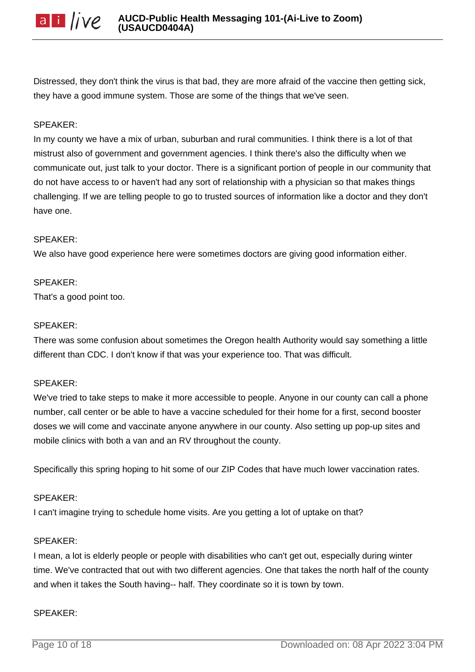

Distressed, they don't think the virus is that bad, they are more afraid of the vaccine then getting sick, they have a good immune system. Those are some of the things that we've seen.

#### SPEAKER:

In my county we have a mix of urban, suburban and rural communities. I think there is a lot of that mistrust also of government and government agencies. I think there's also the difficulty when we communicate out, just talk to your doctor. There is a significant portion of people in our community that do not have access to or haven't had any sort of relationship with a physician so that makes things challenging. If we are telling people to go to trusted sources of information like a doctor and they don't have one.

#### SPEAKER:

We also have good experience here were sometimes doctors are giving good information either.

#### SPEAKER:

That's a good point too.

#### SPEAKER:

There was some confusion about sometimes the Oregon health Authority would say something a little different than CDC. I don't know if that was your experience too. That was difficult.

#### SPEAKER:

We've tried to take steps to make it more accessible to people. Anyone in our county can call a phone number, call center or be able to have a vaccine scheduled for their home for a first, second booster doses we will come and vaccinate anyone anywhere in our county. Also setting up pop-up sites and mobile clinics with both a van and an RV throughout the county.

Specifically this spring hoping to hit some of our ZIP Codes that have much lower vaccination rates.

#### SPEAKER:

I can't imagine trying to schedule home visits. Are you getting a lot of uptake on that?

#### SPEAKER:

I mean, a lot is elderly people or people with disabilities who can't get out, especially during winter time. We've contracted that out with two different agencies. One that takes the north half of the county and when it takes the South having-- half. They coordinate so it is town by town.

#### SPEAKER: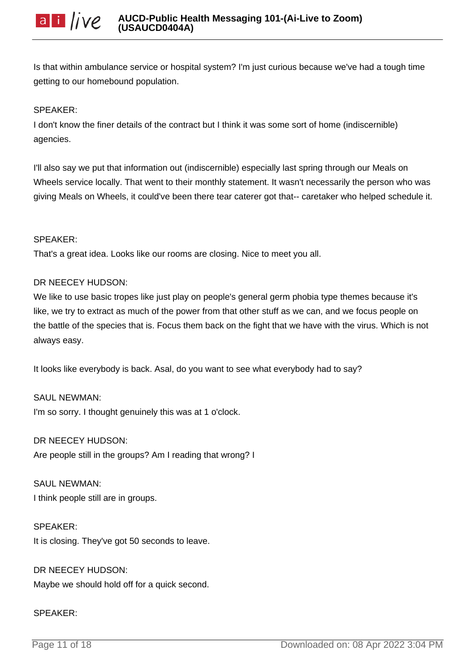Is that within ambulance service or hospital system? I'm just curious because we've had a tough time getting to our homebound population.

#### SPEAKER:

I don't know the finer details of the contract but I think it was some sort of home (indiscernible) agencies.

I'll also say we put that information out (indiscernible) especially last spring through our Meals on Wheels service locally. That went to their monthly statement. It wasn't necessarily the person who was giving Meals on Wheels, it could've been there tear caterer got that-- caretaker who helped schedule it.

#### SPEAKER:

That's a great idea. Looks like our rooms are closing. Nice to meet you all.

#### DR NEECEY HUDSON:

We like to use basic tropes like just play on people's general germ phobia type themes because it's like, we try to extract as much of the power from that other stuff as we can, and we focus people on the battle of the species that is. Focus them back on the fight that we have with the virus. Which is not always easy.

It looks like everybody is back. Asal, do you want to see what everybody had to say?

SAUL NEWMAN: I'm so sorry. I thought genuinely this was at 1 o'clock.

# DR NEECEY HUDSON:

Are people still in the groups? Am I reading that wrong? I

# SAUL NEWMAN:

I think people still are in groups.

#### SPEAKER:

It is closing. They've got 50 seconds to leave.

DR NEECEY HUDSON: Maybe we should hold off for a quick second.

## SPEAKER: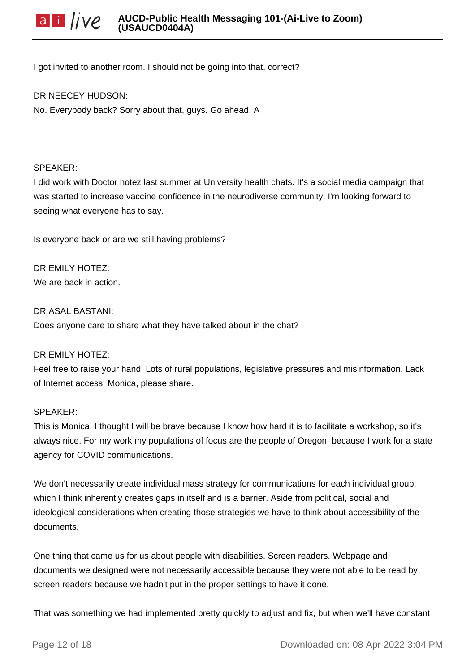I got invited to another room. I should not be going into that, correct?

#### DR NEECEY HUDSON:

No. Everybody back? Sorry about that, guys. Go ahead. A

#### SPEAKER:

I did work with Doctor hotez last summer at University health chats. It's a social media campaign that was started to increase vaccine confidence in the neurodiverse community. I'm looking forward to seeing what everyone has to say.

Is everyone back or are we still having problems?

DR EMILY HOTEZ: We are back in action.

DR ASAL BASTANI: Does anyone care to share what they have talked about in the chat?

#### DR EMILY HOTEZ:

Feel free to raise your hand. Lots of rural populations, legislative pressures and misinformation. Lack of Internet access. Monica, please share.

#### SPEAKER:

This is Monica. I thought I will be brave because I know how hard it is to facilitate a workshop, so it's always nice. For my work my populations of focus are the people of Oregon, because I work for a state agency for COVID communications.

We don't necessarily create individual mass strategy for communications for each individual group, which I think inherently creates gaps in itself and is a barrier. Aside from political, social and ideological considerations when creating those strategies we have to think about accessibility of the documents.

One thing that came us for us about people with disabilities. Screen readers. Webpage and documents we designed were not necessarily accessible because they were not able to be read by screen readers because we hadn't put in the proper settings to have it done.

That was something we had implemented pretty quickly to adjust and fix, but when we'll have constant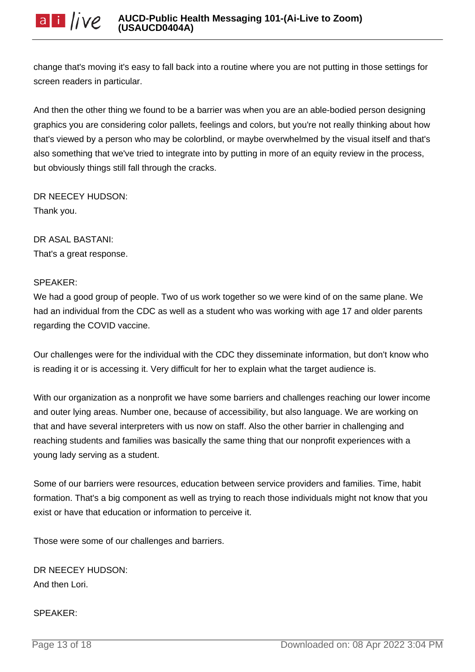change that's moving it's easy to fall back into a routine where you are not putting in those settings for screen readers in particular.

And then the other thing we found to be a barrier was when you are an able-bodied person designing graphics you are considering color pallets, feelings and colors, but you're not really thinking about how that's viewed by a person who may be colorblind, or maybe overwhelmed by the visual itself and that's also something that we've tried to integrate into by putting in more of an equity review in the process, but obviously things still fall through the cracks.

DR NEECEY HUDSON: Thank you.

DR ASAL BASTANI: That's a great response.

## SPEAKER:

We had a good group of people. Two of us work together so we were kind of on the same plane. We had an individual from the CDC as well as a student who was working with age 17 and older parents regarding the COVID vaccine.

Our challenges were for the individual with the CDC they disseminate information, but don't know who is reading it or is accessing it. Very difficult for her to explain what the target audience is.

With our organization as a nonprofit we have some barriers and challenges reaching our lower income and outer lying areas. Number one, because of accessibility, but also language. We are working on that and have several interpreters with us now on staff. Also the other barrier in challenging and reaching students and families was basically the same thing that our nonprofit experiences with a young lady serving as a student.

Some of our barriers were resources, education between service providers and families. Time, habit formation. That's a big component as well as trying to reach those individuals might not know that you exist or have that education or information to perceive it.

Those were some of our challenges and barriers.

DR NEECEY HUDSON: And then Lori.

SPEAKER: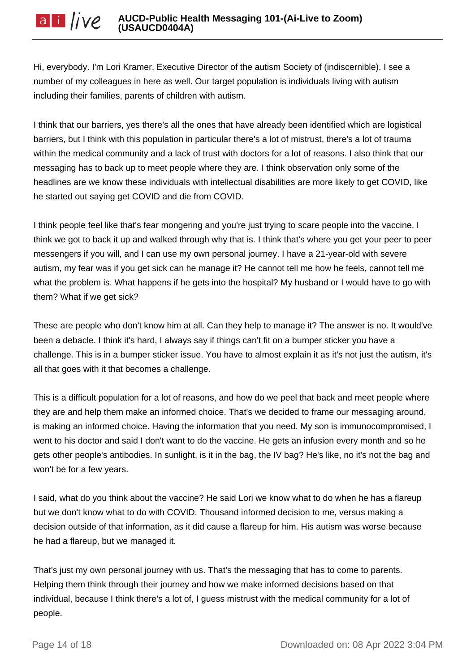Hi, everybody. I'm Lori Kramer, Executive Director of the autism Society of (indiscernible). I see a number of my colleagues in here as well. Our target population is individuals living with autism including their families, parents of children with autism.

I think that our barriers, yes there's all the ones that have already been identified which are logistical barriers, but I think with this population in particular there's a lot of mistrust, there's a lot of trauma within the medical community and a lack of trust with doctors for a lot of reasons. I also think that our messaging has to back up to meet people where they are. I think observation only some of the headlines are we know these individuals with intellectual disabilities are more likely to get COVID, like he started out saying get COVID and die from COVID.

I think people feel like that's fear mongering and you're just trying to scare people into the vaccine. I think we got to back it up and walked through why that is. I think that's where you get your peer to peer messengers if you will, and I can use my own personal journey. I have a 21-year-old with severe autism, my fear was if you get sick can he manage it? He cannot tell me how he feels, cannot tell me what the problem is. What happens if he gets into the hospital? My husband or I would have to go with them? What if we get sick?

These are people who don't know him at all. Can they help to manage it? The answer is no. It would've been a debacle. I think it's hard, I always say if things can't fit on a bumper sticker you have a challenge. This is in a bumper sticker issue. You have to almost explain it as it's not just the autism, it's all that goes with it that becomes a challenge.

This is a difficult population for a lot of reasons, and how do we peel that back and meet people where they are and help them make an informed choice. That's we decided to frame our messaging around, is making an informed choice. Having the information that you need. My son is immunocompromised, I went to his doctor and said I don't want to do the vaccine. He gets an infusion every month and so he gets other people's antibodies. In sunlight, is it in the bag, the IV bag? He's like, no it's not the bag and won't be for a few years.

I said, what do you think about the vaccine? He said Lori we know what to do when he has a flareup but we don't know what to do with COVID. Thousand informed decision to me, versus making a decision outside of that information, as it did cause a flareup for him. His autism was worse because he had a flareup, but we managed it.

That's just my own personal journey with us. That's the messaging that has to come to parents. Helping them think through their journey and how we make informed decisions based on that individual, because I think there's a lot of, I guess mistrust with the medical community for a lot of people.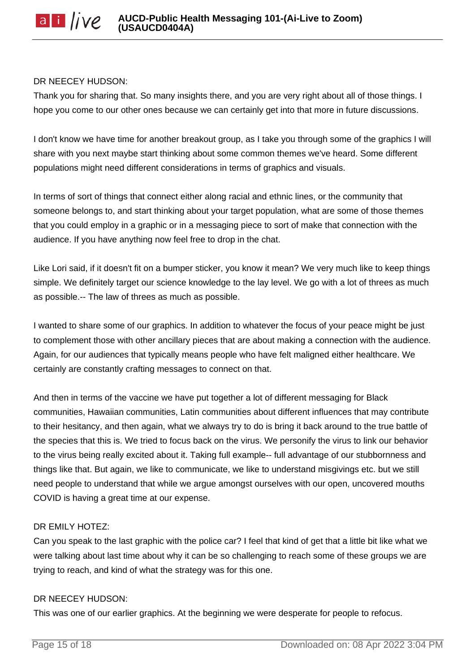## DR NEECEY HUDSON:

Thank you for sharing that. So many insights there, and you are very right about all of those things. I hope you come to our other ones because we can certainly get into that more in future discussions.

I don't know we have time for another breakout group, as I take you through some of the graphics I will share with you next maybe start thinking about some common themes we've heard. Some different populations might need different considerations in terms of graphics and visuals.

In terms of sort of things that connect either along racial and ethnic lines, or the community that someone belongs to, and start thinking about your target population, what are some of those themes that you could employ in a graphic or in a messaging piece to sort of make that connection with the audience. If you have anything now feel free to drop in the chat.

Like Lori said, if it doesn't fit on a bumper sticker, you know it mean? We very much like to keep things simple. We definitely target our science knowledge to the lay level. We go with a lot of threes as much as possible.-- The law of threes as much as possible.

I wanted to share some of our graphics. In addition to whatever the focus of your peace might be just to complement those with other ancillary pieces that are about making a connection with the audience. Again, for our audiences that typically means people who have felt maligned either healthcare. We certainly are constantly crafting messages to connect on that.

And then in terms of the vaccine we have put together a lot of different messaging for Black communities, Hawaiian communities, Latin communities about different influences that may contribute to their hesitancy, and then again, what we always try to do is bring it back around to the true battle of the species that this is. We tried to focus back on the virus. We personify the virus to link our behavior to the virus being really excited about it. Taking full example-- full advantage of our stubbornness and things like that. But again, we like to communicate, we like to understand misgivings etc. but we still need people to understand that while we argue amongst ourselves with our open, uncovered mouths COVID is having a great time at our expense.

## DR EMILY HOTEZ:

Can you speak to the last graphic with the police car? I feel that kind of get that a little bit like what we were talking about last time about why it can be so challenging to reach some of these groups we are trying to reach, and kind of what the strategy was for this one.

#### DR NEECEY HUDSON:

This was one of our earlier graphics. At the beginning we were desperate for people to refocus.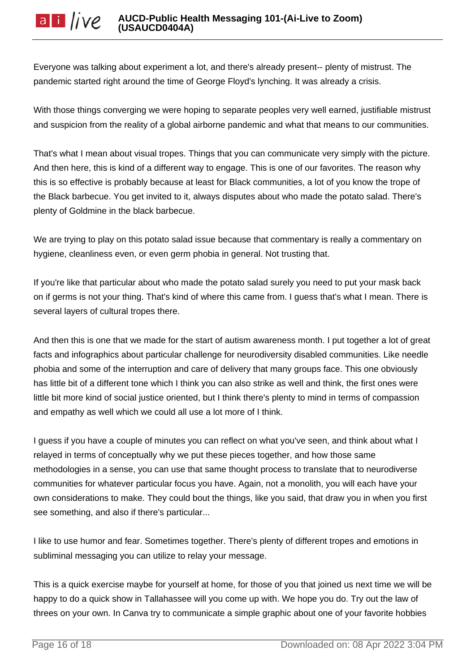Everyone was talking about experiment a lot, and there's already present-- plenty of mistrust. The pandemic started right around the time of George Floyd's lynching. It was already a crisis.

With those things converging we were hoping to separate peoples very well earned, justifiable mistrust and suspicion from the reality of a global airborne pandemic and what that means to our communities.

That's what I mean about visual tropes. Things that you can communicate very simply with the picture. And then here, this is kind of a different way to engage. This is one of our favorites. The reason why this is so effective is probably because at least for Black communities, a lot of you know the trope of the Black barbecue. You get invited to it, always disputes about who made the potato salad. There's plenty of Goldmine in the black barbecue.

We are trying to play on this potato salad issue because that commentary is really a commentary on hygiene, cleanliness even, or even germ phobia in general. Not trusting that.

If you're like that particular about who made the potato salad surely you need to put your mask back on if germs is not your thing. That's kind of where this came from. I guess that's what I mean. There is several layers of cultural tropes there.

And then this is one that we made for the start of autism awareness month. I put together a lot of great facts and infographics about particular challenge for neurodiversity disabled communities. Like needle phobia and some of the interruption and care of delivery that many groups face. This one obviously has little bit of a different tone which I think you can also strike as well and think, the first ones were little bit more kind of social justice oriented, but I think there's plenty to mind in terms of compassion and empathy as well which we could all use a lot more of I think.

I guess if you have a couple of minutes you can reflect on what you've seen, and think about what I relayed in terms of conceptually why we put these pieces together, and how those same methodologies in a sense, you can use that same thought process to translate that to neurodiverse communities for whatever particular focus you have. Again, not a monolith, you will each have your own considerations to make. They could bout the things, like you said, that draw you in when you first see something, and also if there's particular...

I like to use humor and fear. Sometimes together. There's plenty of different tropes and emotions in subliminal messaging you can utilize to relay your message.

This is a quick exercise maybe for yourself at home, for those of you that joined us next time we will be happy to do a quick show in Tallahassee will you come up with. We hope you do. Try out the law of threes on your own. In Canva try to communicate a simple graphic about one of your favorite hobbies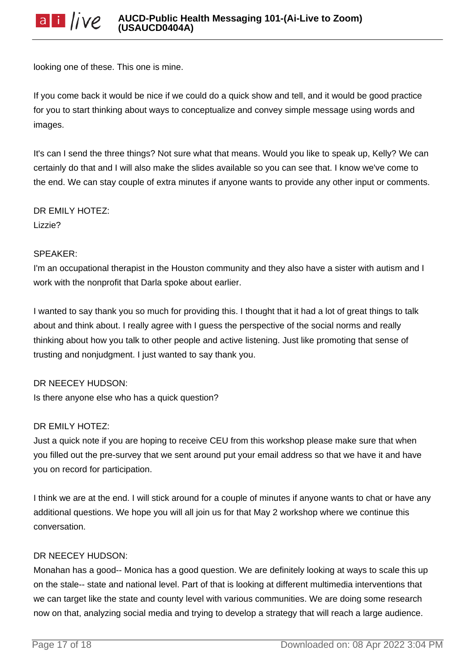looking one of these. This one is mine.

If you come back it would be nice if we could do a quick show and tell, and it would be good practice for you to start thinking about ways to conceptualize and convey simple message using words and images.

It's can I send the three things? Not sure what that means. Would you like to speak up, Kelly? We can certainly do that and I will also make the slides available so you can see that. I know we've come to the end. We can stay couple of extra minutes if anyone wants to provide any other input or comments.

DR EMILY HOTEZ: Lizzie?

## SPEAKER:

I'm an occupational therapist in the Houston community and they also have a sister with autism and I work with the nonprofit that Darla spoke about earlier.

I wanted to say thank you so much for providing this. I thought that it had a lot of great things to talk about and think about. I really agree with I guess the perspective of the social norms and really thinking about how you talk to other people and active listening. Just like promoting that sense of trusting and nonjudgment. I just wanted to say thank you.

## DR NEECEY HUDSON:

Is there anyone else who has a quick question?

## DR EMILY HOTEZ:

Just a quick note if you are hoping to receive CEU from this workshop please make sure that when you filled out the pre-survey that we sent around put your email address so that we have it and have you on record for participation.

I think we are at the end. I will stick around for a couple of minutes if anyone wants to chat or have any additional questions. We hope you will all join us for that May 2 workshop where we continue this conversation.

## DR NEECEY HUDSON:

Monahan has a good-- Monica has a good question. We are definitely looking at ways to scale this up on the stale-- state and national level. Part of that is looking at different multimedia interventions that we can target like the state and county level with various communities. We are doing some research now on that, analyzing social media and trying to develop a strategy that will reach a large audience.